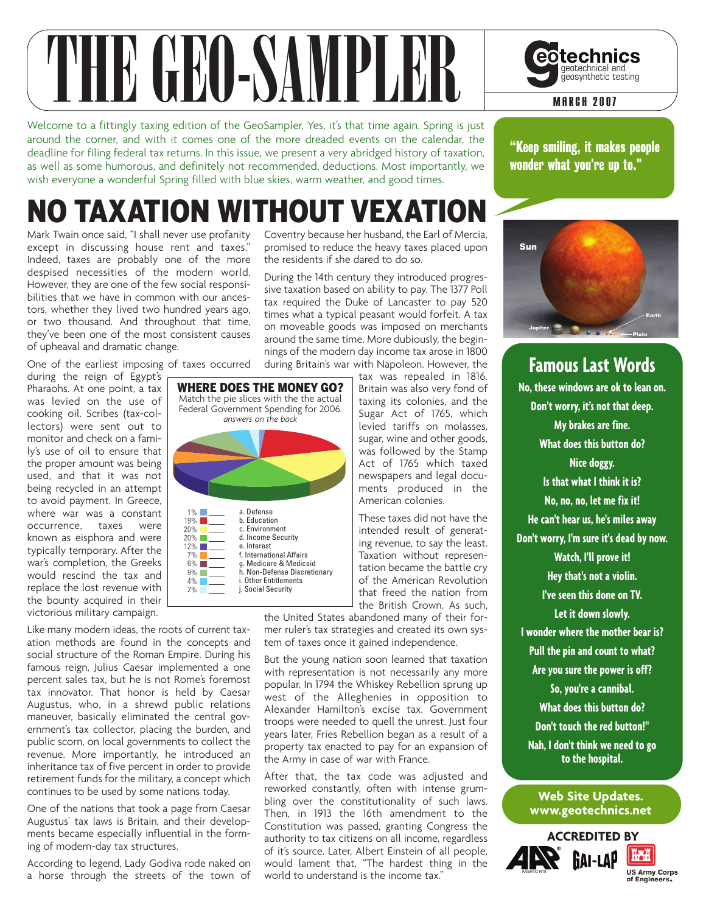

Welcome to a fittingly taxing edition of the GeoSampler. Yes, it's that time again. Spring is just around the corner, and with it comes one of the more dreaded events on the calendar, the deadline for filing federal tax returns. In this issue, we present a very abridged history of taxation, as well as some humorous, and definitely not recommended, deductions. Most importantly, we wish everyone a wonderful Spring filled with blue skies, warm weather, and good times.

## NO TAXATION WITHOUT VEXATION

Mark Twain once said, "I shall never use profanity except in discussing house rent and taxes." Indeed, taxes are probably one of the more despised necessities of the modern world. However, they are one of the few social responsibilities that we have in common with our ancestors, whether they lived two hundred years ago, or two thousand. And throughout that time, they've been one of the most consistent causes of upheaval and dramatic change.

One of the earliest imposing of taxes occurred

during the reign of Egypt's Pharaohs. At one point, a tax was levied on the use of cooking oil. Scribes (tax-collectors) were sent out to monitor and check on a family's use of oil to ensure that the proper amount was being used, and that it was not being recycled in an attempt to avoid payment. In Greece, where war was a constant<br>occurrence, taxes were occurrence, taxes were known as eisphora and were typically temporary. After the war's completion, the Greeks would rescind the tax and replace the lost revenue with the bounty acquired in their victorious military campaign.

Like many modern ideas, the roots of current taxation methods are found in the concepts and social structure of the Roman Empire. During his famous reign, Julius Caesar implemented a one percent sales tax, but he is not Rome's foremost tax innovator. That honor is held by Caesar Augustus, who, in a shrewd public relations maneuver, basically eliminated the central government's tax collector, placing the burden, and public scorn, on local governments to collect the revenue. More importantly, he introduced an inheritance tax of five percent in order to provide retirement funds for the military, a concept which continues to be used by some nations today.

One of the nations that took a page from Caesar Augustus' tax laws is Britain, and their developments became especially influential in the forming of modern-day tax structures.

According to legend, Lady Godiva rode naked on a horse through the streets of the town of Coventry because her husband, the Earl of Mercia, promised to reduce the heavy taxes placed upon the residents if she dared to do so.

During the 14th century they introduced progressive taxation based on ability to pay. The 1377 Poll tax required the Duke of Lancaster to pay 520 times what a typical peasant would forfeit. A tax on moveable goods was imposed on merchants around the same time. More dubiously, the beginnings of the modern day income tax arose in 1800 during Britain's war with Napoleon. However, the

a. Defense b. Education c. Environment d. Income Security e. Interest f. International Affairs g. Medicare & Medicaid h. Non-Defense Discretionary i. Other Entitlements j. Social Security 1% 19% 20% 20% 12% 7%  $6\%$ 9% 4% 2% WHERE DOES THE MONEY GO? Match the pie slices with the the actual Federal Government Spending for 2006. *answers on the back*

tax was repealed in 1816. Britain was also very fond of taxing its colonies, and the Sugar Act of 1765, which levied tariffs on molasses, sugar, wine and other goods, was followed by the Stamp Act of 1765 which taxed newspapers and legal documents produced in the American colonies.

These taxes did not have the intended result of generating revenue, to say the least. Taxation without representation became the battle cry of the American Revolution that freed the nation from the British Crown. As such,

the United States abandoned many of their former ruler's tax strategies and created its own system of taxes once it gained independence.

But the young nation soon learned that taxation with representation is not necessarily any more popular. In 1794 the Whiskey Rebellion sprung up west of the Alleghenies in opposition to Alexander Hamilton's excise tax. Government troops were needed to quell the unrest. Just four years later, Fries Rebellion began as a result of a property tax enacted to pay for an expansion of the Army in case of war with France.

After that, the tax code was adjusted and reworked constantly, often with intense grumbling over the constitutionality of such laws. Then, in 1913 the 16th amendment to the Constitution was passed, granting Congress the authority to tax citizens on all income, regardless of it's source. Later, Albert Einstein of all people, would lament that, "The hardest thing in the world to understand is the income tax."



"Keep smiling, it makes people wonder what you're up to."



**Famous Last Words No, these windows are ok to lean on. Don't worry, it's not that deep. My brakes are fine. What does this button do? Nice doggy. Is that what I think it is? No, no, no, let me fix it! He can't hear us, he's miles away Don't worry, I'm sure it's dead by now. Watch, I'll prove it! Hey that's not a violin. I've seen this done on TV. Let it down slowly. I wonder where the mother bear is? Pull the pin and count to what? Are you sure the power is off? So, you're a cannibal. What does this button do? Don't touch the red button!" Nah, I don't think we need to go to the hospital.**

#### **Web Site Updates. www.geotechnics.net**